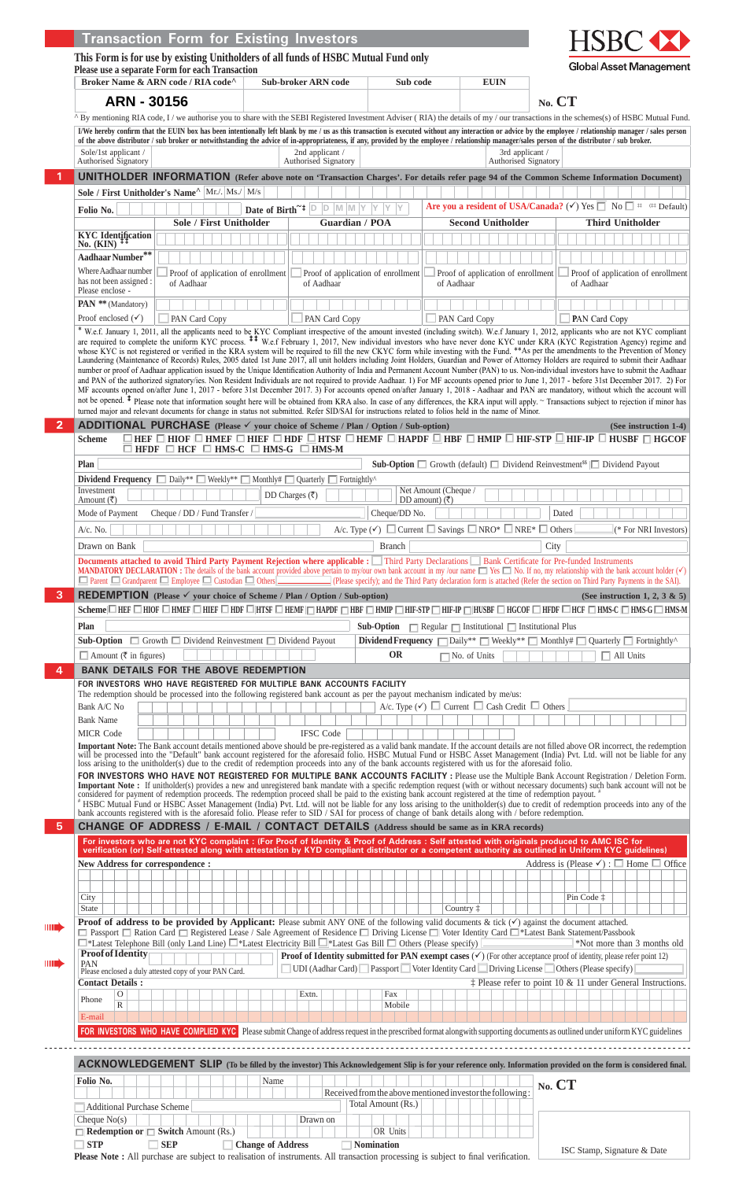|                                                                   | This Form is for use by existing Unitholders of all funds of HSBC Mutual Fund only                                                    |                                                                                                                 |                                    |                                                  |                                                                                                                                                                                   |                                                                                                                                                                                                                                                                                                                                                                                                                                                                                                                                                                                                                                                                                                                                                                                                                                                                                                                                                                                                                                                                                                                                                                                                                                                                                                                                                                                      |
|-------------------------------------------------------------------|---------------------------------------------------------------------------------------------------------------------------------------|-----------------------------------------------------------------------------------------------------------------|------------------------------------|--------------------------------------------------|-----------------------------------------------------------------------------------------------------------------------------------------------------------------------------------|--------------------------------------------------------------------------------------------------------------------------------------------------------------------------------------------------------------------------------------------------------------------------------------------------------------------------------------------------------------------------------------------------------------------------------------------------------------------------------------------------------------------------------------------------------------------------------------------------------------------------------------------------------------------------------------------------------------------------------------------------------------------------------------------------------------------------------------------------------------------------------------------------------------------------------------------------------------------------------------------------------------------------------------------------------------------------------------------------------------------------------------------------------------------------------------------------------------------------------------------------------------------------------------------------------------------------------------------------------------------------------------|
|                                                                   | Please use a separate Form for each Transaction<br>Broker Name & ARN code / RIA code <sup>^</sup>                                     | <b>Sub-broker ARN code</b>                                                                                      |                                    | Sub code                                         | <b>EUIN</b>                                                                                                                                                                       | <b>Global Asset Management</b>                                                                                                                                                                                                                                                                                                                                                                                                                                                                                                                                                                                                                                                                                                                                                                                                                                                                                                                                                                                                                                                                                                                                                                                                                                                                                                                                                       |
| ARN - 30156                                                       |                                                                                                                                       |                                                                                                                 |                                    |                                                  |                                                                                                                                                                                   | $No.$ $CT$                                                                                                                                                                                                                                                                                                                                                                                                                                                                                                                                                                                                                                                                                                                                                                                                                                                                                                                                                                                                                                                                                                                                                                                                                                                                                                                                                                           |
|                                                                   |                                                                                                                                       |                                                                                                                 |                                    |                                                  |                                                                                                                                                                                   | $^{\wedge}$ By mentioning RIA code, I / we authorise you to share with the SEBI Registered Investment Adviser (RIA) the details of my / our transactions in the schemes(s) of HSBC Mutual Fund.                                                                                                                                                                                                                                                                                                                                                                                                                                                                                                                                                                                                                                                                                                                                                                                                                                                                                                                                                                                                                                                                                                                                                                                      |
|                                                                   |                                                                                                                                       |                                                                                                                 |                                    |                                                  |                                                                                                                                                                                   | I/We hereby confirm that the EUIN box has been intentionally left blank by me / us as this transaction is executed without any interaction or advice by the employee / relationship manager / sales person<br>of the above distributor / sub broker or notwithstanding the advice of in-appropriateness, if any, provided by the employee / relationship manager/sales person of the distributor / sub broker.                                                                                                                                                                                                                                                                                                                                                                                                                                                                                                                                                                                                                                                                                                                                                                                                                                                                                                                                                                       |
| Sole/1st applicant /                                              |                                                                                                                                       |                                                                                                                 | 2nd applicant /                    |                                                  | 3rd applicant /                                                                                                                                                                   |                                                                                                                                                                                                                                                                                                                                                                                                                                                                                                                                                                                                                                                                                                                                                                                                                                                                                                                                                                                                                                                                                                                                                                                                                                                                                                                                                                                      |
| Authorised Signatory                                              |                                                                                                                                       |                                                                                                                 | Authorised Signatory               |                                                  | Authorised Signatory                                                                                                                                                              | <b>UNITHOLDER INFORMATION</b> (Refer above note on 'Transaction Charges'. For details refer page 94 of the Common Scheme Information Document)                                                                                                                                                                                                                                                                                                                                                                                                                                                                                                                                                                                                                                                                                                                                                                                                                                                                                                                                                                                                                                                                                                                                                                                                                                       |
|                                                                   | Sole / First Unitholder's Name <sup>^</sup> Mr./. Ms./ M/s                                                                            |                                                                                                                 |                                    |                                                  |                                                                                                                                                                                   |                                                                                                                                                                                                                                                                                                                                                                                                                                                                                                                                                                                                                                                                                                                                                                                                                                                                                                                                                                                                                                                                                                                                                                                                                                                                                                                                                                                      |
| Folio No.                                                         |                                                                                                                                       | Date of Birth <sup>~‡</sup> $\boxed{D}$ $\boxed{D}$ $\boxed{M}$ $\boxed{N}$ $\boxed{Y}$ $\boxed{Y}$ $\boxed{Y}$ |                                    |                                                  |                                                                                                                                                                                   | Are you a resident of USA/Canada? ( $\checkmark$ ) Yes $\Box$ No $\Box$ # # Default)                                                                                                                                                                                                                                                                                                                                                                                                                                                                                                                                                                                                                                                                                                                                                                                                                                                                                                                                                                                                                                                                                                                                                                                                                                                                                                 |
| <b>KYC</b> Identification                                         | <b>Sole / First Unitholder</b>                                                                                                        |                                                                                                                 | <b>Guardian / POA</b>              |                                                  | <b>Second Unitholder</b>                                                                                                                                                          | <b>Third Unitholder</b>                                                                                                                                                                                                                                                                                                                                                                                                                                                                                                                                                                                                                                                                                                                                                                                                                                                                                                                                                                                                                                                                                                                                                                                                                                                                                                                                                              |
| No. $(KIN)$ <sup><math>\ddagger</math></sup>                      |                                                                                                                                       |                                                                                                                 |                                    |                                                  |                                                                                                                                                                                   |                                                                                                                                                                                                                                                                                                                                                                                                                                                                                                                                                                                                                                                                                                                                                                                                                                                                                                                                                                                                                                                                                                                                                                                                                                                                                                                                                                                      |
| Aadhaar Number**<br>Where Aadhaar number                          | Proof of application of enrollment                                                                                                    |                                                                                                                 | Proof of application of enrollment |                                                  | Proof of application of enrollment                                                                                                                                                | Proof of application of enrollment                                                                                                                                                                                                                                                                                                                                                                                                                                                                                                                                                                                                                                                                                                                                                                                                                                                                                                                                                                                                                                                                                                                                                                                                                                                                                                                                                   |
| has not been assigned :<br>Please enclose -                       | of Aadhaar                                                                                                                            |                                                                                                                 | of Aadhaar                         |                                                  | of Aadhaar                                                                                                                                                                        | of Aadhaar                                                                                                                                                                                                                                                                                                                                                                                                                                                                                                                                                                                                                                                                                                                                                                                                                                                                                                                                                                                                                                                                                                                                                                                                                                                                                                                                                                           |
| PAN ** (Mandatory)                                                |                                                                                                                                       |                                                                                                                 |                                    |                                                  |                                                                                                                                                                                   |                                                                                                                                                                                                                                                                                                                                                                                                                                                                                                                                                                                                                                                                                                                                                                                                                                                                                                                                                                                                                                                                                                                                                                                                                                                                                                                                                                                      |
| Proof enclosed $(\checkmark)$                                     | PAN Card Copy                                                                                                                         |                                                                                                                 | PAN Card Copy                      |                                                  | PAN Card Copy                                                                                                                                                                     | PAN Card Copy<br>* W.e.f. January 1, 2011, all the applicants need to be KYC Compliant irrespective of the amount invested (including switch). W.e.f January 1, 2012, applicants who are not KYC compliant                                                                                                                                                                                                                                                                                                                                                                                                                                                                                                                                                                                                                                                                                                                                                                                                                                                                                                                                                                                                                                                                                                                                                                           |
|                                                                   |                                                                                                                                       |                                                                                                                 |                                    |                                                  | turned major and relevant documents for change in status not submitted. Refer SID/SAI for instructions related to folios held in the name of Minor.                               | are required to complete the uniform KYC process. <sup>11</sup> W.e.f February 1, 2017, New individual investors who have never done KYC under KRA (KYC Registration Agency) regime and<br>whose KYC is not registered or verified in the KRA system will be required to fill the new CKYC form while investing with the Fund. **As per the amendments to the Prevention of Money<br>Laundering (Maintenance of Records) Rules, 2005 dated 1st June 2017, all unit holders including Joint Holders, Guardian and Power of Attorney Holders are required to submit their Aadhaar<br>number or proof of Aadhaar application issued by the Unique Identification Authority of India and Permanent Account Number (PAN) to us. Non-individual investors have to submit the Aadhaar<br>and PAN of the authorized signatory/ies. Non Resident Individuals are not required to provide Aadhaar. 1) For MF accounts opened prior to June 1, 2017 - before 31st December 2017. 2) For<br>MF accounts opened on/after June 1, 2017 - before 31st December 2017. 3) For accounts opened on/after January 1, 2018 - Aadhaar and PAN are mandatory, without which the account will<br>not be opened. <sup>‡</sup> Please note that information sought here will be obtained from KRA also. In case of any differences, the KRA input will apply. ~ Transactions subject to rejection if minor has |
| <b>Scheme</b>                                                     | <b>ADDITIONAL PURCHASE</b> (Please $\checkmark$ your choice of Scheme / Plan / Option / Sub-option)                                   |                                                                                                                 |                                    |                                                  |                                                                                                                                                                                   | (See instruction 1-4)<br>$\Box$ HEF $\Box$ HIOF $\Box$ HIEF $\Box$ HIDF $\Box$ HTSF $\Box$ HEMF $\Box$ HAPDF $\Box$ HIMP $\Box$ HIF-STP $\Box$ HIF-IP $\Box$ HUSBF $\Box$ HGCOF                                                                                                                                                                                                                                                                                                                                                                                                                                                                                                                                                                                                                                                                                                                                                                                                                                                                                                                                                                                                                                                                                                                                                                                                      |
| Plan                                                              | $\Box$ HFDF $\Box$ HCF $\Box$ HMS-C $\Box$ HMS-G $\Box$ HMS-M                                                                         |                                                                                                                 |                                    |                                                  |                                                                                                                                                                                   | <b>Sub-Option</b> $\Box$ Growth (default) $\Box$ Dividend Reinvestment <sup>55</sup> $\Box$ Dividend Payout                                                                                                                                                                                                                                                                                                                                                                                                                                                                                                                                                                                                                                                                                                                                                                                                                                                                                                                                                                                                                                                                                                                                                                                                                                                                          |
| Investment                                                        | <b>Dividend Frequency</b> $\Box$ Daily** $\Box$ Weekly** $\Box$ Monthly# $\Box$ Quarterly $\Box$ Fortnightly^                         | DD Charges $( ₹)$                                                                                               |                                    | Net Amount (Cheque /                             |                                                                                                                                                                                   |                                                                                                                                                                                                                                                                                                                                                                                                                                                                                                                                                                                                                                                                                                                                                                                                                                                                                                                                                                                                                                                                                                                                                                                                                                                                                                                                                                                      |
| Amount $(\overline{\zeta})$<br>Mode of Payment                    | Cheque / DD / Fund Transfer /                                                                                                         |                                                                                                                 |                                    | DD amount) $(\overline{\zeta})$<br>Cheque/DD No. |                                                                                                                                                                                   | Dated                                                                                                                                                                                                                                                                                                                                                                                                                                                                                                                                                                                                                                                                                                                                                                                                                                                                                                                                                                                                                                                                                                                                                                                                                                                                                                                                                                                |
| $A/c.$ No.                                                        |                                                                                                                                       |                                                                                                                 |                                    |                                                  | A/c. Type $(\checkmark)$ $\Box$ Current $\Box$ Savings $\Box$ NRO* $\Box$ NRE* $\Box$ Others                                                                                      | (* For NRI Investors)                                                                                                                                                                                                                                                                                                                                                                                                                                                                                                                                                                                                                                                                                                                                                                                                                                                                                                                                                                                                                                                                                                                                                                                                                                                                                                                                                                |
| Drawn on Bank                                                     |                                                                                                                                       |                                                                                                                 |                                    | <b>Branch</b>                                    |                                                                                                                                                                                   | City                                                                                                                                                                                                                                                                                                                                                                                                                                                                                                                                                                                                                                                                                                                                                                                                                                                                                                                                                                                                                                                                                                                                                                                                                                                                                                                                                                                 |
|                                                                   |                                                                                                                                       |                                                                                                                 |                                    |                                                  | Documents attached to avoid Third Party Payment Rejection where applicable : Third Party Declarations Bank Certificate for Pre-funded Instruments                                 | <b>MANDATORY DECLARATION</b> : The details of the bank account provided above pertain to my/our own bank account in my /our name $\Box$ Yes $\Box$ No. If no, my relationship with the bank account holder ( $\checkmark$ )                                                                                                                                                                                                                                                                                                                                                                                                                                                                                                                                                                                                                                                                                                                                                                                                                                                                                                                                                                                                                                                                                                                                                          |
|                                                                   |                                                                                                                                       |                                                                                                                 |                                    |                                                  |                                                                                                                                                                                   | □ Parent □ Grandparent □ Employee □ Custodian □ Others   CHES   Please specify); and the Third Party declaration form is attached (Refer the section on Third Party Payments in the SAI).                                                                                                                                                                                                                                                                                                                                                                                                                                                                                                                                                                                                                                                                                                                                                                                                                                                                                                                                                                                                                                                                                                                                                                                            |
|                                                                   | <b>REDEMPTION</b> (Please $\checkmark$ your choice of Scheme / Plan / Option / Sub-option)                                            |                                                                                                                 |                                    |                                                  |                                                                                                                                                                                   | (See instruction 1, 2, 3 $\&$ 5)<br>Scheme □ HEF □ HIOF □ HMEF □ HIEF □ HDF □ HTSF □ HEMF □ HAPDF □ HBF □ HMIP □ HIF-3TP □ HUSBF □ HGCOF □ HFDF □ HCF □ HMS-C □ HMS-G □ HMS-M                                                                                                                                                                                                                                                                                                                                                                                                                                                                                                                                                                                                                                                                                                                                                                                                                                                                                                                                                                                                                                                                                                                                                                                                        |
| Plan                                                              |                                                                                                                                       |                                                                                                                 |                                    |                                                  | Sub-Option $\Box$ Regular $\Box$ Institutional $\Box$ Institutional Plus                                                                                                          |                                                                                                                                                                                                                                                                                                                                                                                                                                                                                                                                                                                                                                                                                                                                                                                                                                                                                                                                                                                                                                                                                                                                                                                                                                                                                                                                                                                      |
|                                                                   | <b>Sub-Option</b> $\Box$ Growth $\Box$ Dividend Reinvestment $\Box$ Dividend Payout                                                   |                                                                                                                 |                                    |                                                  |                                                                                                                                                                                   | <b>Dividend Frequency</b> $\Box$ Daily** $\Box$ Weekly** $\Box$ Monthly# $\Box$ Quarterly $\Box$ Fortnightly^                                                                                                                                                                                                                                                                                                                                                                                                                                                                                                                                                                                                                                                                                                                                                                                                                                                                                                                                                                                                                                                                                                                                                                                                                                                                        |
| $\Box$ Amount (₹ in figures)                                      |                                                                                                                                       |                                                                                                                 |                                    | <b>OR</b>                                        | $\Box$ No. of Units                                                                                                                                                               | $\Box$ All Units                                                                                                                                                                                                                                                                                                                                                                                                                                                                                                                                                                                                                                                                                                                                                                                                                                                                                                                                                                                                                                                                                                                                                                                                                                                                                                                                                                     |
|                                                                   | <b>BANK DETAILS FOR THE ABOVE REDEMPTION</b><br>FOR INVESTORS WHO HAVE REGISTERED FOR MULTIPLE BANK ACCOUNTS FACILITY                 |                                                                                                                 |                                    |                                                  |                                                                                                                                                                                   |                                                                                                                                                                                                                                                                                                                                                                                                                                                                                                                                                                                                                                                                                                                                                                                                                                                                                                                                                                                                                                                                                                                                                                                                                                                                                                                                                                                      |
|                                                                   | The redemption should be processed into the following registered bank account as per the payout mechanism indicated by me/us:         |                                                                                                                 |                                    |                                                  | A/c. Type $(\checkmark)$ $\Box$ Current $\Box$ Cash Credit $\Box$ Others                                                                                                          |                                                                                                                                                                                                                                                                                                                                                                                                                                                                                                                                                                                                                                                                                                                                                                                                                                                                                                                                                                                                                                                                                                                                                                                                                                                                                                                                                                                      |
|                                                                   |                                                                                                                                       |                                                                                                                 |                                    |                                                  |                                                                                                                                                                                   |                                                                                                                                                                                                                                                                                                                                                                                                                                                                                                                                                                                                                                                                                                                                                                                                                                                                                                                                                                                                                                                                                                                                                                                                                                                                                                                                                                                      |
| Bank A/C No                                                       |                                                                                                                                       |                                                                                                                 | <b>IFSC</b> Code                   |                                                  |                                                                                                                                                                                   |                                                                                                                                                                                                                                                                                                                                                                                                                                                                                                                                                                                                                                                                                                                                                                                                                                                                                                                                                                                                                                                                                                                                                                                                                                                                                                                                                                                      |
| <b>Bank Name</b><br><b>MICR Code</b>                              |                                                                                                                                       |                                                                                                                 |                                    |                                                  |                                                                                                                                                                                   |                                                                                                                                                                                                                                                                                                                                                                                                                                                                                                                                                                                                                                                                                                                                                                                                                                                                                                                                                                                                                                                                                                                                                                                                                                                                                                                                                                                      |
|                                                                   |                                                                                                                                       |                                                                                                                 |                                    |                                                  |                                                                                                                                                                                   | Important Note: The Bank account details mentioned above should be pre-registered as a valid bank mandate. If the account details are not filled above OR incorrect, the redemption will be processed into the "Default" bank                                                                                                                                                                                                                                                                                                                                                                                                                                                                                                                                                                                                                                                                                                                                                                                                                                                                                                                                                                                                                                                                                                                                                        |
|                                                                   |                                                                                                                                       |                                                                                                                 |                                    |                                                  | loss arising to the unitholder(s) due to the credit of redemption proceeds into any of the bank accounts registered with us for the aforesaid folio.                              |                                                                                                                                                                                                                                                                                                                                                                                                                                                                                                                                                                                                                                                                                                                                                                                                                                                                                                                                                                                                                                                                                                                                                                                                                                                                                                                                                                                      |
|                                                                   |                                                                                                                                       |                                                                                                                 |                                    |                                                  | considered for payment of redemption proceeds. The redemption proceed shall be paid to the existing bank account registered at the time of redemption payout.                     | FOR INVESTORS WHO HAVE NOT REGISTERED FOR MULTIPLE BANK ACCOUNTS FACILITY : Please use the Multiple Bank Account Registration / Deletion Form.<br>Important Note : If unitholder(s) provides a new and unregistered bank mandate with a specific redemption request (with or without necessary documents) such bank account will not be                                                                                                                                                                                                                                                                                                                                                                                                                                                                                                                                                                                                                                                                                                                                                                                                                                                                                                                                                                                                                                              |
|                                                                   |                                                                                                                                       |                                                                                                                 |                                    |                                                  | bank accounts registered with is the aforesaid folio. Please refer to SID / SAI for process of change of bank details along with / before redemption.                             | # HSBC Mutual Fund or HSBC Asset Management (India) Pvt. Ltd. will not be liable for any loss arising to the unitholder(s) due to credit of redemption proceeds into any of the                                                                                                                                                                                                                                                                                                                                                                                                                                                                                                                                                                                                                                                                                                                                                                                                                                                                                                                                                                                                                                                                                                                                                                                                      |
|                                                                   |                                                                                                                                       |                                                                                                                 |                                    |                                                  | <b>CHANGE OF ADDRESS / E-MAIL / CONTACT DETAILS (Address should be same as in KRA records)</b>                                                                                    |                                                                                                                                                                                                                                                                                                                                                                                                                                                                                                                                                                                                                                                                                                                                                                                                                                                                                                                                                                                                                                                                                                                                                                                                                                                                                                                                                                                      |
|                                                                   |                                                                                                                                       |                                                                                                                 |                                    |                                                  |                                                                                                                                                                                   | For investors who are not KYC complaint : (For Proof of Identity & Proof of Address : Self attested with originals produced to AMC ISC for                                                                                                                                                                                                                                                                                                                                                                                                                                                                                                                                                                                                                                                                                                                                                                                                                                                                                                                                                                                                                                                                                                                                                                                                                                           |
|                                                                   |                                                                                                                                       |                                                                                                                 |                                    |                                                  |                                                                                                                                                                                   |                                                                                                                                                                                                                                                                                                                                                                                                                                                                                                                                                                                                                                                                                                                                                                                                                                                                                                                                                                                                                                                                                                                                                                                                                                                                                                                                                                                      |
| New Address for correspondence:                                   |                                                                                                                                       |                                                                                                                 |                                    |                                                  |                                                                                                                                                                                   | verification (or) Self-attested along with attestation by KYD compliant distributor or a competent authority as outlined in Uniform KYC guidelines)<br>Address is (Please $\checkmark$ ) : $\Box$ Home $\Box$ Office                                                                                                                                                                                                                                                                                                                                                                                                                                                                                                                                                                                                                                                                                                                                                                                                                                                                                                                                                                                                                                                                                                                                                                 |
| City<br>State                                                     |                                                                                                                                       |                                                                                                                 |                                    |                                                  | Country $\ddagger$                                                                                                                                                                | Pin Code $\ddagger$                                                                                                                                                                                                                                                                                                                                                                                                                                                                                                                                                                                                                                                                                                                                                                                                                                                                                                                                                                                                                                                                                                                                                                                                                                                                                                                                                                  |
|                                                                   |                                                                                                                                       |                                                                                                                 |                                    |                                                  | <b>Proof of address to be provided by Applicant:</b> Please submit ANY ONE of the following valid documents & tick ( $\checkmark$ ) against the document attached.                |                                                                                                                                                                                                                                                                                                                                                                                                                                                                                                                                                                                                                                                                                                                                                                                                                                                                                                                                                                                                                                                                                                                                                                                                                                                                                                                                                                                      |
|                                                                   | $\Box$ *Latest Telephone Bill (only Land Line) $\Box$ *Latest Electricity Bill $\Box$ *Latest Gas Bill $\Box$ Others (Please specify) |                                                                                                                 |                                    |                                                  | $\Box$ Passport $\Box$ Ration Card $\Box$ Registered Lease / Sale Agreement of Residence $\Box$ Driving License $\Box$ Voter Identity Card $\Box$ *Latest Bank Statement/Passbook | *Not more than 3 months old                                                                                                                                                                                                                                                                                                                                                                                                                                                                                                                                                                                                                                                                                                                                                                                                                                                                                                                                                                                                                                                                                                                                                                                                                                                                                                                                                          |
| <b>Proof of Identity</b><br>PAN                                   |                                                                                                                                       |                                                                                                                 |                                    |                                                  |                                                                                                                                                                                   | <b>Proof of Identity submitted for PAN exempt cases</b> $(\checkmark)$ (For other acceptance proof of identity, please refer point 12)                                                                                                                                                                                                                                                                                                                                                                                                                                                                                                                                                                                                                                                                                                                                                                                                                                                                                                                                                                                                                                                                                                                                                                                                                                               |
| <b>Contact Details:</b>                                           | Please enclosed a duly attested copy of your PAN Card.                                                                                |                                                                                                                 |                                    |                                                  | UDI (Aadhar Card) Passport Voter Identity Card Driving License Others (Please specify)                                                                                            | <sup><math>\ddagger</math></sup> Please refer to point 10 & 11 under General Instructions.                                                                                                                                                                                                                                                                                                                                                                                                                                                                                                                                                                                                                                                                                                                                                                                                                                                                                                                                                                                                                                                                                                                                                                                                                                                                                           |
| O<br>Phone                                                        |                                                                                                                                       | Extn.                                                                                                           |                                    | Fax                                              |                                                                                                                                                                                   |                                                                                                                                                                                                                                                                                                                                                                                                                                                                                                                                                                                                                                                                                                                                                                                                                                                                                                                                                                                                                                                                                                                                                                                                                                                                                                                                                                                      |
| $\mathbb R$<br>E-mail                                             |                                                                                                                                       |                                                                                                                 |                                    | Mobile                                           |                                                                                                                                                                                   |                                                                                                                                                                                                                                                                                                                                                                                                                                                                                                                                                                                                                                                                                                                                                                                                                                                                                                                                                                                                                                                                                                                                                                                                                                                                                                                                                                                      |
|                                                                   |                                                                                                                                       |                                                                                                                 |                                    |                                                  |                                                                                                                                                                                   |                                                                                                                                                                                                                                                                                                                                                                                                                                                                                                                                                                                                                                                                                                                                                                                                                                                                                                                                                                                                                                                                                                                                                                                                                                                                                                                                                                                      |
|                                                                   |                                                                                                                                       |                                                                                                                 |                                    |                                                  |                                                                                                                                                                                   |                                                                                                                                                                                                                                                                                                                                                                                                                                                                                                                                                                                                                                                                                                                                                                                                                                                                                                                                                                                                                                                                                                                                                                                                                                                                                                                                                                                      |
|                                                                   |                                                                                                                                       |                                                                                                                 |                                    |                                                  |                                                                                                                                                                                   | FOR INVESTORS WHO HAVE COMPLIED KYC Please submit Change of address request in the prescribed format along with supporting documents as outlined under uniform KYC guidelines<br>ACKNOWLEDGEMENT SLIP (To be filled by the investor) This Acknowledgement Slip is for your reference only. Information provided on the form is considered final.                                                                                                                                                                                                                                                                                                                                                                                                                                                                                                                                                                                                                                                                                                                                                                                                                                                                                                                                                                                                                                     |
|                                                                   |                                                                                                                                       | Name                                                                                                            |                                    |                                                  | Received from the above mentioned investor the following:                                                                                                                         | No. CT                                                                                                                                                                                                                                                                                                                                                                                                                                                                                                                                                                                                                                                                                                                                                                                                                                                                                                                                                                                                                                                                                                                                                                                                                                                                                                                                                                               |
| Folio No.<br>Additional Purchase Scheme                           |                                                                                                                                       |                                                                                                                 | Total Amount (Rs.)                 |                                                  |                                                                                                                                                                                   |                                                                                                                                                                                                                                                                                                                                                                                                                                                                                                                                                                                                                                                                                                                                                                                                                                                                                                                                                                                                                                                                                                                                                                                                                                                                                                                                                                                      |
| Cheque $No(s)$<br>$\Box$ Redemption or $\Box$ Switch Amount (Rs.) |                                                                                                                                       | Drawn on                                                                                                        |                                    | OR Units                                         |                                                                                                                                                                                   |                                                                                                                                                                                                                                                                                                                                                                                                                                                                                                                                                                                                                                                                                                                                                                                                                                                                                                                                                                                                                                                                                                                                                                                                                                                                                                                                                                                      |

**Please Note :** All purchase are subject to realisation of instruments. All transaction processing is subject to final verification. ISC Stamp, Signature & Date